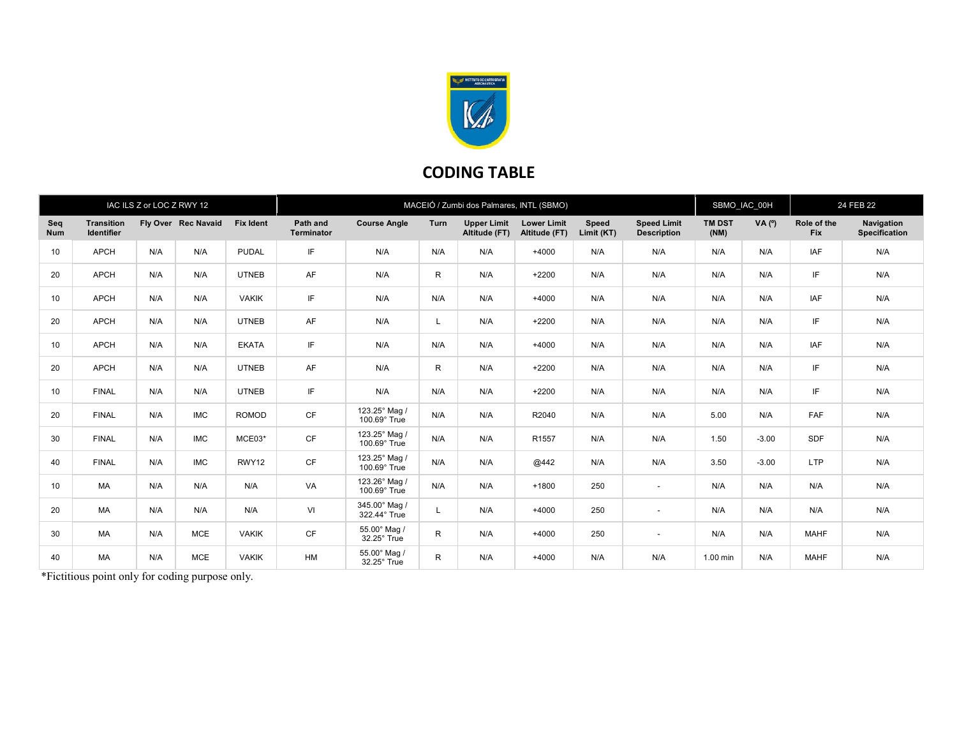

## CODING TABLE

| IAC ILS Z or LOC Z RWY 12 |                                        |     |                     |                  | MACEIÓ / Zumbi dos Palmares, INTL (SBMO) |                               |      |                                     |                                     |                     |                                          |                       | SBMO IAC 00H |                    | 24 FEB 22                          |  |
|---------------------------|----------------------------------------|-----|---------------------|------------------|------------------------------------------|-------------------------------|------|-------------------------------------|-------------------------------------|---------------------|------------------------------------------|-----------------------|--------------|--------------------|------------------------------------|--|
| Seq<br><b>Num</b>         | <b>Transition</b><br><b>Identifier</b> |     | Fly Over Rec Navaid | <b>Fix Ident</b> | Path and<br><b>Terminator</b>            | <b>Course Angle</b>           | Turn | <b>Upper Limit</b><br>Altitude (FT) | <b>Lower Limit</b><br>Altitude (FT) | Speed<br>Limit (KT) | <b>Speed Limit</b><br><b>Description</b> | <b>TM DST</b><br>(NM) | VA (°)       | Role of the<br>Fix | Navigation<br><b>Specification</b> |  |
| 10                        | <b>APCH</b>                            | N/A | N/A                 | <b>PUDAL</b>     | IF                                       | N/A                           | N/A  | N/A                                 | $+4000$                             | N/A                 | N/A                                      | N/A                   | N/A          | IAF                | N/A                                |  |
| 20                        | <b>APCH</b>                            | N/A | N/A                 | <b>UTNEB</b>     | AF                                       | N/A                           | R    | N/A                                 | $+2200$                             | N/A                 | N/A                                      | N/A                   | N/A          | IF                 | N/A                                |  |
| 10                        | <b>APCH</b>                            | N/A | N/A                 | <b>VAKIK</b>     | IF                                       | N/A                           | N/A  | N/A                                 | $+4000$                             | N/A                 | N/A                                      | N/A                   | N/A          | IAF                | N/A                                |  |
| 20                        | <b>APCH</b>                            | N/A | N/A                 | <b>UTNEB</b>     | AF                                       | N/A                           |      | N/A                                 | $+2200$                             | N/A                 | N/A                                      | N/A                   | N/A          | IF                 | N/A                                |  |
| 10                        | <b>APCH</b>                            | N/A | N/A                 | <b>EKATA</b>     | IF.                                      | N/A                           | N/A  | N/A                                 | $+4000$                             | N/A                 | N/A                                      | N/A                   | N/A          | IAF                | N/A                                |  |
| 20                        | <b>APCH</b>                            | N/A | N/A                 | <b>UTNEB</b>     | AF                                       | N/A                           | R    | N/A                                 | $+2200$                             | N/A                 | N/A                                      | N/A                   | N/A          | IF                 | N/A                                |  |
| 10                        | <b>FINAL</b>                           | N/A | N/A                 | <b>UTNEB</b>     | IF.                                      | N/A                           | N/A  | N/A                                 | $+2200$                             | N/A                 | N/A                                      | N/A                   | N/A          | IF                 | N/A                                |  |
| 20                        | <b>FINAL</b>                           | N/A | <b>IMC</b>          | ROMOD            | CF                                       | 123.25° Mag /<br>100.69° True | N/A  | N/A                                 | R2040                               | N/A                 | N/A                                      | 5.00                  | N/A          | FAF                | N/A                                |  |
| 30                        | <b>FINAL</b>                           | N/A | <b>IMC</b>          | MCE03*           | <b>CF</b>                                | 123.25° Mag /<br>100.69° True | N/A  | N/A                                 | R <sub>1557</sub>                   | N/A                 | N/A                                      | 1.50                  | $-3.00$      | <b>SDF</b>         | N/A                                |  |
| 40                        | <b>FINAL</b>                           | N/A | <b>IMC</b>          | RWY12            | <b>CF</b>                                | 123.25° Mag /<br>100.69° True | N/A  | N/A                                 | @442                                | N/A                 | N/A                                      | 3.50                  | $-3.00$      | <b>LTP</b>         | N/A                                |  |
| 10                        | MA                                     | N/A | N/A                 | N/A              | VA                                       | 123.26° Mag /<br>100.69° True | N/A  | N/A                                 | $+1800$                             | 250                 | $\sim$                                   | N/A                   | N/A          | N/A                | N/A                                |  |
| 20                        | MA                                     | N/A | N/A                 | N/A              | VI                                       | 345.00° Mag /<br>322.44° True |      | N/A                                 | $+4000$                             | 250                 | $\overline{\phantom{a}}$                 | N/A                   | N/A          | N/A                | N/A                                |  |
| 30                        | MA                                     | N/A | <b>MCE</b>          | <b>VAKIK</b>     | CF                                       | 55.00° Mag /<br>32.25° True   | R    | N/A                                 | $+4000$                             | 250                 | $\sim$                                   | N/A                   | N/A          | <b>MAHF</b>        | N/A                                |  |
| 40                        | <b>MA</b>                              | N/A | <b>MCE</b>          | <b>VAKIK</b>     | HM                                       | 55.00° Mag /<br>32.25° True   | R    | N/A                                 | $+4000$                             | N/A                 | N/A                                      | 1.00 min              | N/A          | <b>MAHF</b>        | N/A                                |  |

\*Fictitious point only for coding purpose only.